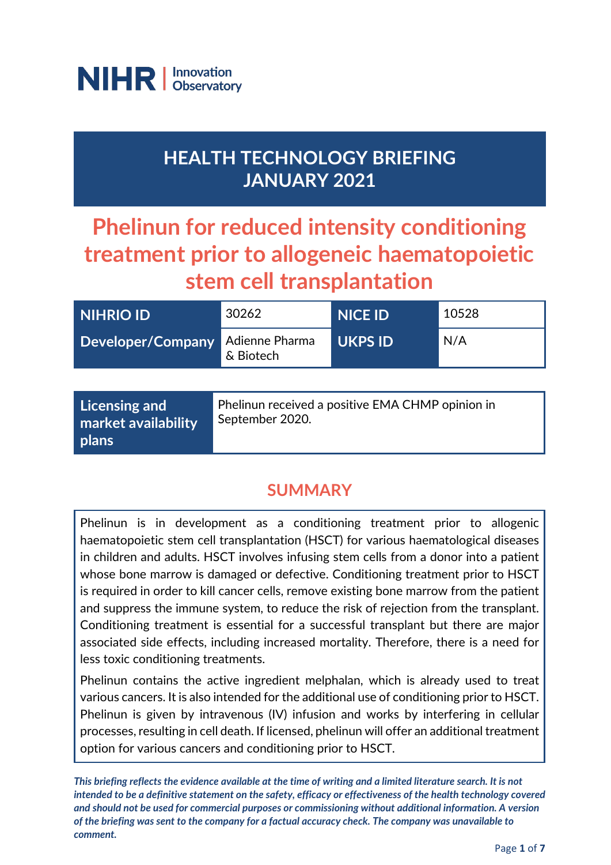

## **HEALTH TECHNOLOGY BRIEFING JANUARY 2021**

# **Phelinun for reduced intensity conditioning treatment prior to allogeneic haematopoietic stem cell transplantation**

| NIHRIO ID         | 30262                       | <b>NICE ID</b> | 10528 |
|-------------------|-----------------------------|----------------|-------|
| Developer/Company | Adienne Pharma<br>& Biotech | <b>UKPS ID</b> | N/A   |
|                   |                             |                |       |

| Licensing and              | Phelinun received a positive EMA CHMP opinion in |
|----------------------------|--------------------------------------------------|
| <b>market availability</b> | September 2020.                                  |
| <b>plans</b>               |                                                  |

### **SUMMARY**

Phelinun is in development as a conditioning treatment prior to allogenic haematopoietic stem cell transplantation (HSCT) for various haematological diseases in children and adults. HSCT involves infusing stem cells from a donor into a patient whose bone marrow is damaged or defective. Conditioning treatment prior to HSCT is required in order to kill cancer cells, remove existing bone marrow from the patient and suppress the immune system, to reduce the risk of rejection from the transplant. Conditioning treatment is essential for a successful transplant but there are major associated side effects, including increased mortality. Therefore, there is a need for less toxic conditioning treatments.

Phelinun contains the active ingredient melphalan, which is already used to treat various cancers. It is also intended for the additional use of conditioning prior to HSCT. Phelinun is given by intravenous (IV) infusion and works by interfering in cellular processes, resulting in cell death. If licensed, phelinun will offer an additional treatment option for various cancers and conditioning prior to HSCT.

*This briefing reflects the evidence available at the time of writing and a limited literature search. It is not intended to be a definitive statement on the safety, efficacy or effectiveness of the health technology covered and should not be used for commercial purposes or commissioning without additional information. A version of the briefing was sent to the company for a factual accuracy check. The company was unavailable to comment.*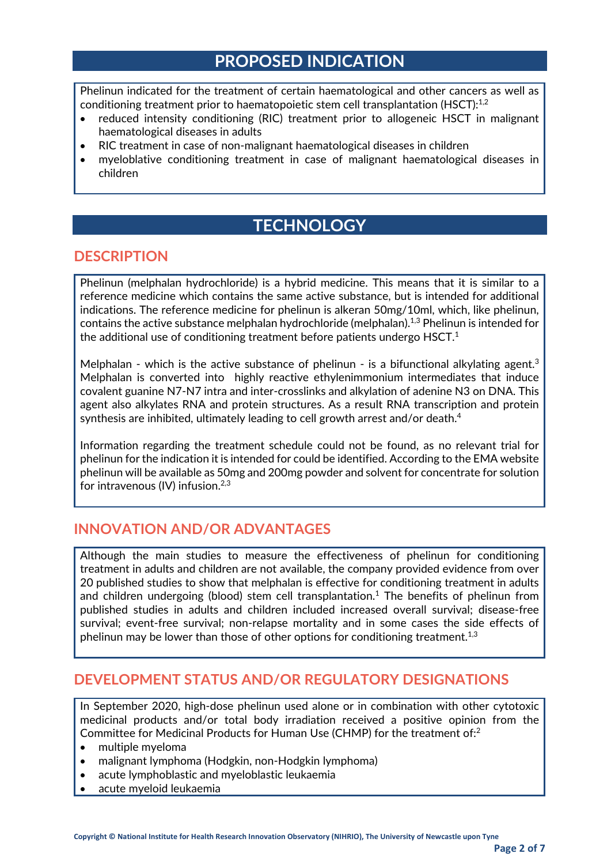### **PROPOSED INDICATION**

Phelinun indicated for the treatment of certain haematological and other cancers as well as conditioning treatment prior to haematopoietic stem cell transplantation (HSCT): $^{1,2}$ 

- reduced intensity conditioning (RIC) treatment prior to allogeneic HSCT in malignant haematological diseases in adults
- RIC treatment in case of non-malignant haematological diseases in children
- myeloblative conditioning treatment in case of malignant haematological diseases in children

### **TECHNOLOGY**

#### **DESCRIPTION**

Phelinun (melphalan hydrochloride) is a hybrid medicine. This means that it is similar to a reference medicine which contains the same active substance, but is intended for additional indications. The reference medicine for phelinun is alkeran 50mg/10ml, which, like phelinun, contains the active substance melphalan hydrochloride (melphalan).<sup>1,3</sup> Phelinun is intended for the additional use of conditioning treatment before patients undergo HSCT.<sup>1</sup>

Melphalan - which is the active substance of phelinun - is a bifunctional alkylating agent.<sup>3</sup> Melphalan is converted into highly reactive ethylenimmonium intermediates that induce covalent guanine N7-N7 intra and inter-crosslinks and alkylation of adenine N3 on DNA. This agent also alkylates RNA and protein structures. As a result RNA transcription and protein synthesis are inhibited, ultimately leading to cell growth arrest and/or death.<sup>4</sup>

Information regarding the treatment schedule could not be found, as no relevant trial for phelinun for the indication it is intended for could be identified. According to the EMA website phelinun will be available as 50mg and 200mg powder and solvent for concentrate for solution for intravenous  $(IV)$  infusion.<sup>2,3</sup>

#### **INNOVATION AND/OR ADVANTAGES**

Although the main studies to measure the effectiveness of phelinun for conditioning treatment in adults and children are not available, the company provided evidence from over 20 published studies to show that melphalan is effective for conditioning treatment in adults and children undergoing (blood) stem cell transplantation.<sup>1</sup> The benefits of phelinun from published studies in adults and children included increased overall survival; disease-free survival; event-free survival; non-relapse mortality and in some cases the side effects of phelinun may be lower than those of other options for conditioning treatment.<sup>1,3</sup>

#### **DEVELOPMENT STATUS AND/OR REGULATORY DESIGNATIONS**

In September 2020, high-dose phelinun used alone or in combination with other cytotoxic medicinal products and/or total body irradiation received a positive opinion from the Committee for Medicinal Products for Human Use (CHMP) for the treatment of:2

- multiple myeloma
- malignant lymphoma (Hodgkin, non-Hodgkin lymphoma)
- acute lymphoblastic and myeloblastic leukaemia
- acute myeloid leukaemia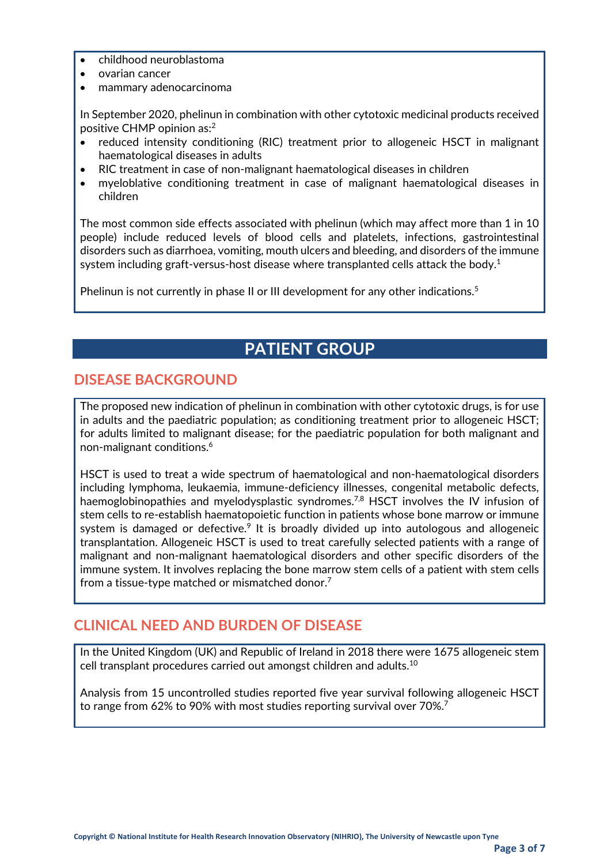- childhood neuroblastoma
- ovarian cancer
- mammary adenocarcinoma

In September 2020, phelinun in combination with other cytotoxic medicinal products received positive CHMP opinion as:2

- reduced intensity conditioning (RIC) treatment prior to allogeneic HSCT in malignant haematological diseases in adults
- RIC treatment in case of non-malignant haematological diseases in children
- myeloblative conditioning treatment in case of malignant haematological diseases in children

The most common side effects associated with phelinun (which may affect more than 1 in 10 people) include reduced levels of blood cells and platelets, infections, gastrointestinal disorders such as diarrhoea, vomiting, mouth ulcers and bleeding, and disorders of the immune system including graft-versus-host disease where transplanted cells attack the body.<sup>1</sup>

Phelinun is not currently in phase II or III development for any other indications.<sup>5</sup>

### **PATIENT GROUP**

#### **DISEASE BACKGROUND**

The proposed new indication of phelinun in combination with other cytotoxic drugs, is for use in adults and the paediatric population; as conditioning treatment prior to allogeneic HSCT; for adults limited to malignant disease; for the paediatric population for both malignant and non-malignant conditions.6

HSCT is used to treat a wide spectrum of haematological and non-haematological disorders including lymphoma, leukaemia, immune-deficiency illnesses, congenital metabolic defects, haemoglobinopathies and myelodysplastic syndromes.<sup>7,8</sup> HSCT involves the IV infusion of stem cells to re-establish haematopoietic function in patients whose bone marrow or immune system is damaged or defective.<sup>9</sup> It is broadly divided up into autologous and allogeneic transplantation. Allogeneic HSCT is used to treat carefully selected patients with a range of malignant and non-malignant haematological disorders and other specific disorders of the immune system. It involves replacing the bone marrow stem cells of a patient with stem cells from a tissue-type matched or mismatched donor.<sup>7</sup>

#### **CLINICAL NEED AND BURDEN OF DISEASE**

In the United Kingdom (UK) and Republic of Ireland in 2018 there were 1675 allogeneic stem cell transplant procedures carried out amongst children and adults. $^{\rm 10}$ 

Analysis from 15 uncontrolled studies reported five year survival following allogeneic HSCT to range from 62% to 90% with most studies reporting survival over 70%.7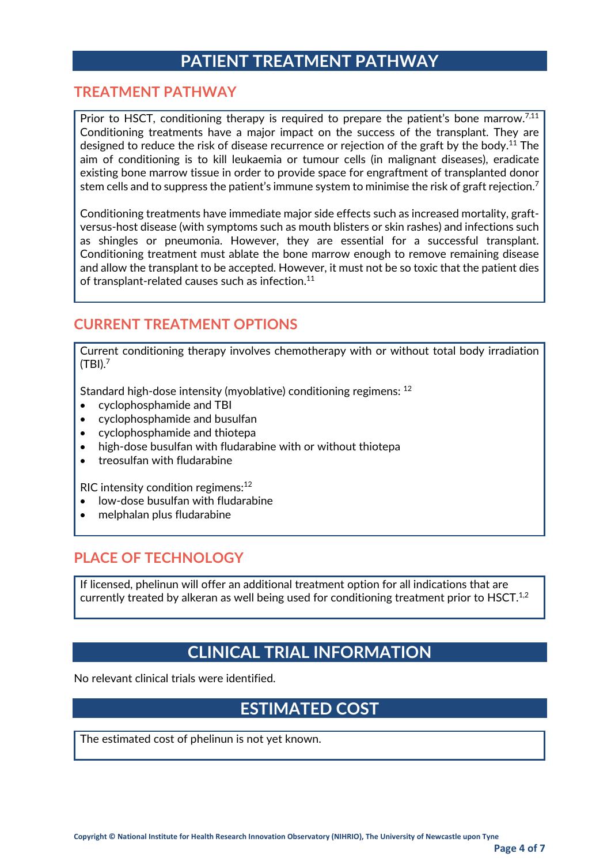### **PATIENT TREATMENT PATHWAY**

#### **TREATMENT PATHWAY**

Prior to HSCT, conditioning therapy is required to prepare the patient's bone marrow.<sup>7,11</sup> Conditioning treatments have a major impact on the success of the transplant. They are designed to reduce the risk of disease recurrence or rejection of the graft by the body.<sup>11</sup> The aim of conditioning is to kill leukaemia or tumour cells (in malignant diseases), eradicate existing bone marrow tissue in order to provide space for engraftment of transplanted donor stem cells and to suppress the patient's immune system to minimise the risk of graft rejection.<sup>7</sup>

Conditioning treatments have immediate major side effects such as increased mortality, graftversus-host disease (with symptoms such as mouth blisters or skin rashes) and infections such as shingles or pneumonia. However, they are essential for a successful transplant. Conditioning treatment must ablate the bone marrow enough to remove remaining disease and allow the transplant to be accepted. However, it must not be so toxic that the patient dies of transplant-related causes such as infection.<sup>11</sup>

#### **CURRENT TREATMENT OPTIONS**

Current conditioning therapy involves chemotherapy with or without total body irradiation (TBI). $^7$ 

Standard high-dose intensity (myoblative) conditioning regimens: 12

- cyclophosphamide and TBI
- cyclophosphamide and busulfan
- cyclophosphamide and thiotepa
- high-dose busulfan with fludarabine with or without thiotepa
- treosulfan with fludarabine

RIC intensity condition regimens: $12$ 

- low-dose busulfan with fludarabine
- melphalan plus fludarabine

#### **PLACE OF TECHNOLOGY**

If licensed, phelinun will offer an additional treatment option for all indications that are currently treated by alkeran as well being used for conditioning treatment prior to HSCT.<sup>1,2</sup>

### **CLINICAL TRIAL INFORMATION**

No relevant clinical trials were identified.

### **ESTIMATED COST**

The estimated cost of phelinun is not yet known.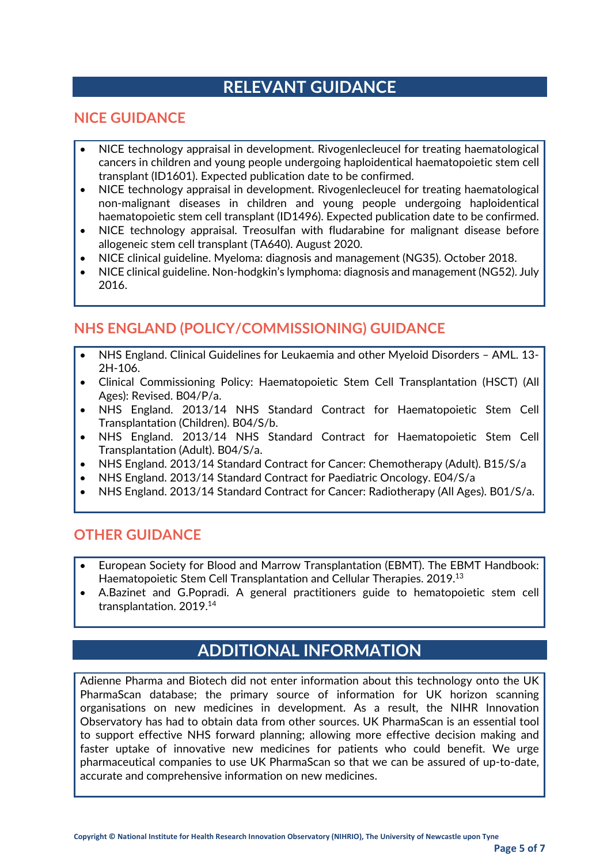### **RELEVANT GUIDANCE**

#### **NICE GUIDANCE**

- NICE technology appraisal in development. Rivogenlecleucel for treating haematological cancers in children and young people undergoing haploidentical haematopoietic stem cell transplant (ID1601). Expected publication date to be confirmed.
- NICE technology appraisal in development. Rivogenlecleucel for treating haematological non-malignant diseases in children and young people undergoing haploidentical haematopoietic stem cell transplant (ID1496). Expected publication date to be confirmed.
- NICE technology appraisal. Treosulfan with fludarabine for malignant disease before allogeneic stem cell transplant (TA640). August 2020.
- NICE clinical guideline. Myeloma: diagnosis and management (NG35). October 2018.
- NICE clinical guideline. Non-hodgkin's lymphoma: diagnosis and management (NG52). July 2016.

#### **NHS ENGLAND (POLICY/COMMISSIONING) GUIDANCE**

- NHS England. Clinical Guidelines for Leukaemia and other Myeloid Disorders AML. 13- 2H-106.
- Clinical Commissioning Policy: Haematopoietic Stem Cell Transplantation (HSCT) (All Ages): Revised. B04/P/a.
- NHS England. 2013/14 NHS Standard Contract for Haematopoietic Stem Cell Transplantation (Children). B04/S/b.
- NHS England. 2013/14 NHS Standard Contract for Haematopoietic Stem Cell Transplantation (Adult). B04/S/a.
- NHS England. 2013/14 Standard Contract for Cancer: Chemotherapy (Adult). B15/S/a
- NHS England. 2013/14 Standard Contract for Paediatric Oncology. E04/S/a
- NHS England. 2013/14 Standard Contract for Cancer: Radiotherapy (All Ages). B01/S/a.

#### **OTHER GUIDANCE**

- European Society for Blood and Marrow Transplantation (EBMT). The EBMT Handbook: Haematopoietic Stem Cell Transplantation and Cellular Therapies. 2019.13
- A.Bazinet and G.Popradi. A general practitioners guide to hematopoietic stem cell transplantation. 2019.14

### **ADDITIONAL INFORMATION**

Adienne Pharma and Biotech did not enter information about this technology onto the UK PharmaScan database; the primary source of information for UK horizon scanning organisations on new medicines in development. As a result, the NIHR Innovation Observatory has had to obtain data from other sources. UK PharmaScan is an essential tool to support effective NHS forward planning; allowing more effective decision making and faster uptake of innovative new medicines for patients who could benefit. We urge pharmaceutical companies to use UK PharmaScan so that we can be assured of up-to-date, accurate and comprehensive information on new medicines.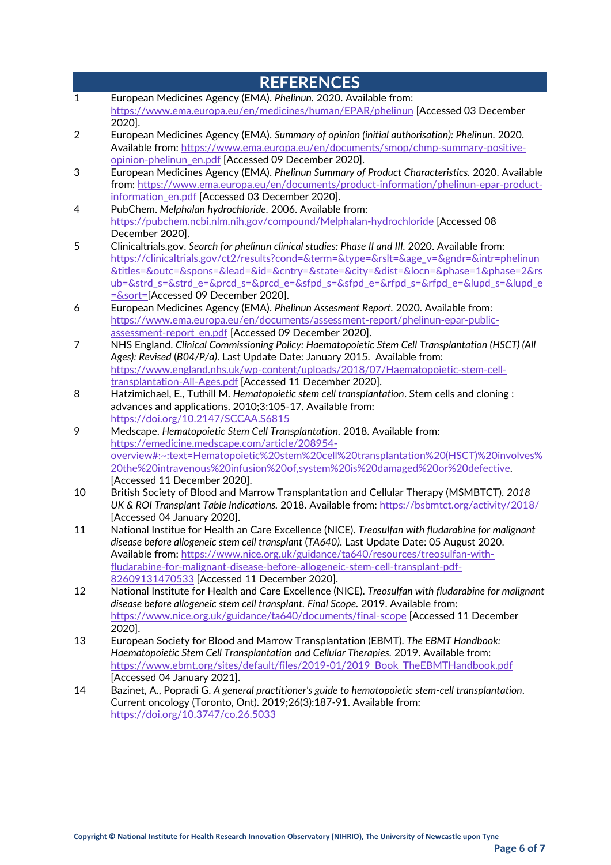|                           | <b>REFERENCES</b>                                                                                                                                                                                                                                                                                          |  |  |
|---------------------------|------------------------------------------------------------------------------------------------------------------------------------------------------------------------------------------------------------------------------------------------------------------------------------------------------------|--|--|
| $\mathbf{1}$              | European Medicines Agency (EMA). Phelinun. 2020. Available from:                                                                                                                                                                                                                                           |  |  |
|                           | https://www.ema.europa.eu/en/medicines/human/EPAR/phelinun [Accessed 03 December                                                                                                                                                                                                                           |  |  |
|                           | 2020].                                                                                                                                                                                                                                                                                                     |  |  |
| $\overline{2}$            | European Medicines Agency (EMA). Summary of opinion (initial authorisation): Phelinun. 2020.                                                                                                                                                                                                               |  |  |
|                           | Available from: https://www.ema.europa.eu/en/documents/smop/chmp-summary-positive-                                                                                                                                                                                                                         |  |  |
| $\ensuremath{\mathsf{3}}$ | opinion-phelinun en.pdf [Accessed 09 December 2020].                                                                                                                                                                                                                                                       |  |  |
|                           | European Medicines Agency (EMA). Phelinun Summary of Product Characteristics. 2020. Available<br>from: https://www.ema.europa.eu/en/documents/product-information/phelinun-epar-product-                                                                                                                   |  |  |
|                           | information en.pdf [Accessed 03 December 2020].                                                                                                                                                                                                                                                            |  |  |
| 4                         | PubChem. Melphalan hydrochloride. 2006. Available from:                                                                                                                                                                                                                                                    |  |  |
|                           | https://pubchem.ncbi.nlm.nih.gov/compound/Melphalan-hydrochloride [Accessed 08                                                                                                                                                                                                                             |  |  |
|                           | December 2020].                                                                                                                                                                                                                                                                                            |  |  |
| 5                         | Clinicaltrials.gov. Search for phelinun clinical studies: Phase II and III. 2020. Available from:                                                                                                                                                                                                          |  |  |
|                           | https://clinicaltrials.gov/ct2/results?cond=&term=&type=&rslt=&age_v=&gndr=&intr=phelinun                                                                                                                                                                                                                  |  |  |
|                           | <u> &amp;titles=&amp;outc=&amp;spons=&amp;lead=&amp;id=&amp;cntry=&amp;state=&amp;city=&amp;dist=&amp;locn=&amp;phase=1&amp;phase=2&amp;rs</u>                                                                                                                                                             |  |  |
|                           | ub=&strd s=&strd e=&prcd s=&prcd e=&sfpd s=&sfpd e=&rfpd s=&rfpd e=&lupd s=&lupd e                                                                                                                                                                                                                         |  |  |
|                           | $=\frac{1}{2}$ = $\frac{1}{2}$ = $\frac{1}{2}$ = $\frac{1}{2}$ = $\frac{1}{2}$ = $\frac{1}{2}$ = $\frac{1}{2}$ = $\frac{1}{2}$ = $\frac{1}{2}$ = $\frac{1}{2}$ = $\frac{1}{2}$ = $\frac{1}{2}$ = $\frac{1}{2}$ = $\frac{1}{2}$ = $\frac{1}{2}$ = $\frac{1}{2}$ = $\frac{1}{2}$ = $\frac{1}{2}$ = $\frac{1$ |  |  |
| 6                         | European Medicines Agency (EMA). Phelinun Assesment Report. 2020. Available from:                                                                                                                                                                                                                          |  |  |
|                           | https://www.ema.europa.eu/en/documents/assessment-report/phelinun-epar-public-                                                                                                                                                                                                                             |  |  |
|                           | assessment-report en.pdf [Accessed 09 December 2020].                                                                                                                                                                                                                                                      |  |  |
| 7                         | NHS England. Clinical Commissioning Policy: Haematopoietic Stem Cell Transplantation (HSCT) (All                                                                                                                                                                                                           |  |  |
|                           | Ages): Revised (B04/P/a). Last Update Date: January 2015. Available from:                                                                                                                                                                                                                                  |  |  |
|                           | https://www.england.nhs.uk/wp-content/uploads/2018/07/Haematopoietic-stem-cell-                                                                                                                                                                                                                            |  |  |
| 8                         | transplantation-All-Ages.pdf [Accessed 11 December 2020].<br>Hatzimichael, E., Tuthill M. Hematopoietic stem cell transplantation. Stem cells and cloning :                                                                                                                                                |  |  |
|                           | advances and applications. 2010;3:105-17. Available from:                                                                                                                                                                                                                                                  |  |  |
|                           | https://doi.org/10.2147/SCCAA.S6815                                                                                                                                                                                                                                                                        |  |  |
| 9                         | Medscape. Hematopoietic Stem Cell Transplantation. 2018. Available from:                                                                                                                                                                                                                                   |  |  |
|                           | https://emedicine.medscape.com/article/208954-                                                                                                                                                                                                                                                             |  |  |
|                           | overview#:~:text=Hematopoietic%20stem%20cell%20transplantation%20(HSCT)%20involves%                                                                                                                                                                                                                        |  |  |
|                           | 20the%20intravenous%20infusion%20of,system%20is%20damaged%20or%20defective.                                                                                                                                                                                                                                |  |  |
|                           | [Accessed 11 December 2020].                                                                                                                                                                                                                                                                               |  |  |
| 10                        | British Society of Blood and Marrow Transplantation and Cellular Therapy (MSMBTCT). 2018                                                                                                                                                                                                                   |  |  |
|                           | UK & ROI Transplant Table Indications. 2018. Available from: https://bsbmtct.org/activity/2018/                                                                                                                                                                                                            |  |  |
|                           | [Accessed 04 January 2020].                                                                                                                                                                                                                                                                                |  |  |
| 11                        | National Institue for Health an Care Excellence (NICE). Treosulfan with fludarabine for malignant                                                                                                                                                                                                          |  |  |
|                           | disease before allogeneic stem cell transplant (TA640). Last Update Date: 05 August 2020.                                                                                                                                                                                                                  |  |  |
|                           | Available from: https://www.nice.org.uk/guidance/ta640/resources/treosulfan-with-                                                                                                                                                                                                                          |  |  |
|                           | fludarabine-for-malignant-disease-before-allogeneic-stem-cell-transplant-pdf-                                                                                                                                                                                                                              |  |  |
|                           | 82609131470533 [Accessed 11 December 2020].                                                                                                                                                                                                                                                                |  |  |
| 12                        | National Institute for Health and Care Excellence (NICE). Treosulfan with fludarabine for malignant<br>disease before allogeneic stem cell transplant. Final Scope. 2019. Available from:                                                                                                                  |  |  |
|                           | https://www.nice.org.uk/guidance/ta640/documents/final-scope [Accessed 11 December                                                                                                                                                                                                                         |  |  |
|                           | 2020].                                                                                                                                                                                                                                                                                                     |  |  |
| 13                        | European Society for Blood and Marrow Transplantation (EBMT). The EBMT Handbook:                                                                                                                                                                                                                           |  |  |
|                           | Haematopoietic Stem Cell Transplantation and Cellular Therapies. 2019. Available from:                                                                                                                                                                                                                     |  |  |
|                           | https://www.ebmt.org/sites/default/files/2019-01/2019_Book_TheEBMTHandbook.pdf                                                                                                                                                                                                                             |  |  |
|                           | [Accessed 04 January 2021].                                                                                                                                                                                                                                                                                |  |  |
| 14                        | Bazinet, A., Popradi G. A general practitioner's guide to hematopoietic stem-cell transplantation.                                                                                                                                                                                                         |  |  |
|                           | Current oncology (Toronto, Ont). 2019;26(3):187-91. Available from:                                                                                                                                                                                                                                        |  |  |
|                           | https://doi.org/10.3747/co.26.5033                                                                                                                                                                                                                                                                         |  |  |
|                           |                                                                                                                                                                                                                                                                                                            |  |  |
|                           |                                                                                                                                                                                                                                                                                                            |  |  |
|                           |                                                                                                                                                                                                                                                                                                            |  |  |
|                           |                                                                                                                                                                                                                                                                                                            |  |  |